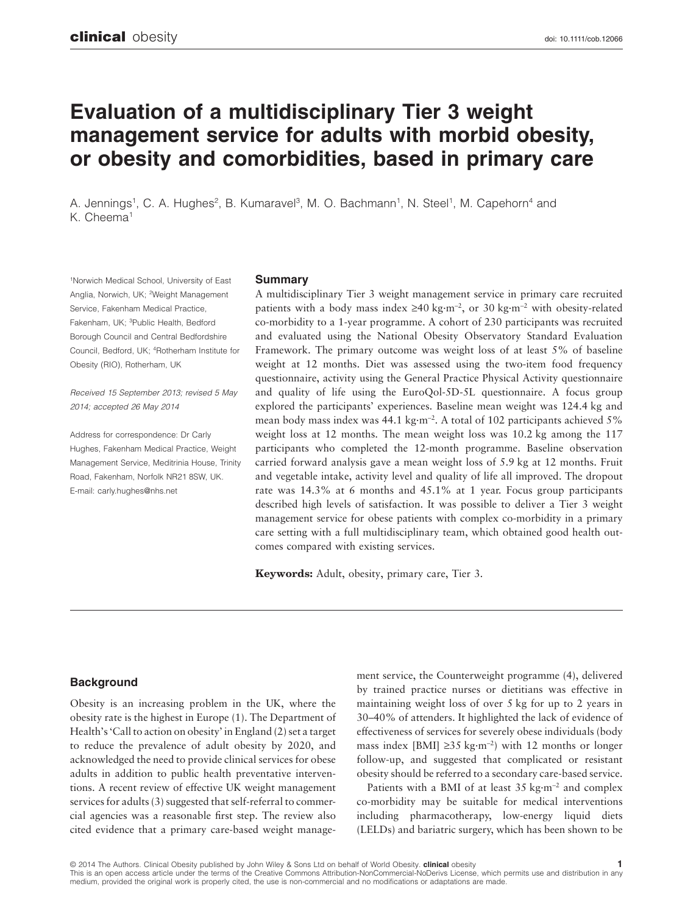# **Evaluation of a multidisciplinary Tier 3 weight management service for adults with morbid obesity, or obesity and comorbidities, based in primary care**

A. Jennings<sup>1</sup>, C. A. Hughes<sup>2</sup>, B. Kumaravel<sup>3</sup>, M. O. Bachmann<sup>1</sup>, N. Steel<sup>1</sup>, M. Capehorn<sup>4</sup> and K. Cheema<sup>1</sup>

1Norwich Medical School, University of East Anglia, Norwich, UK; 2Weight Management Service, Fakenham Medical Practice, Fakenham, UK; 3Public Health, Bedford Borough Council and Central Bedfordshire Council, Bedford, UK; 4Rotherham Institute for Obesity (RIO), Rotherham, UK

*Received 15 September 2013; revised 5 May 2014; accepted 26 May 2014*

Address for correspondence: Dr Carly Hughes, Fakenham Medical Practice, Weight Management Service, Meditrinia House, Trinity Road, Fakenham, Norfolk NR21 8SW, UK. E-mail: [carly.hughes@nhs.net](mailto:carly.hughes@nhs.net)

# **Summary**

A multidisciplinary Tier 3 weight management service in primary care recruited patients with a body mass index ≥40 kg·m<sup>−</sup><sup>2</sup> , or 30 kg·m<sup>−</sup><sup>2</sup> with obesity-related co-morbidity to a 1-year programme. A cohort of 230 participants was recruited and evaluated using the National Obesity Observatory Standard Evaluation Framework. The primary outcome was weight loss of at least 5% of baseline weight at 12 months. Diet was assessed using the two-item food frequency questionnaire, activity using the General Practice Physical Activity questionnaire and quality of life using the EuroQol-5D-5L questionnaire. A focus group explored the participants' experiences. Baseline mean weight was 124.4 kg and mean body mass index was 44.1 kg·m<sup>−</sup><sup>2</sup> . A total of 102 participants achieved 5% weight loss at 12 months. The mean weight loss was 10.2 kg among the 117 participants who completed the 12-month programme. Baseline observation carried forward analysis gave a mean weight loss of 5.9 kg at 12 months. Fruit and vegetable intake, activity level and quality of life all improved. The dropout rate was 14.3% at 6 months and 45.1% at 1 year. Focus group participants described high levels of satisfaction. It was possible to deliver a Tier 3 weight management service for obese patients with complex co-morbidity in a primary care setting with a full multidisciplinary team, which obtained good health outcomes compared with existing services.

**Keywords:** Adult, obesity, primary care, Tier 3.

# **Background**

Obesity is an increasing problem in the UK, where the obesity rate is the highest in Europe (1). The Department of Health's 'Call to action on obesity' in England (2) set a target to reduce the prevalence of adult obesity by 2020, and acknowledged the need to provide clinical services for obese adults in addition to public health preventative interventions. A recent review of effective UK weight management services for adults (3) suggested that self-referral to commercial agencies was a reasonable first step. The review also cited evidence that a primary care-based weight management service, the Counterweight programme (4), delivered by trained practice nurses or dietitians was effective in maintaining weight loss of over 5 kg for up to 2 years in 30–40% of attenders. It highlighted the lack of evidence of effectiveness of services for severely obese individuals (body mass index [BMI] ≥35 kg·m<sup>−</sup><sup>2</sup> ) with 12 months or longer follow-up, and suggested that complicated or resistant obesity should be referred to a secondary care-based service.

Patients with a BMI of at least 35 kg·m<sup>−</sup><sup>2</sup> and complex co-morbidity may be suitable for medical interventions including pharmacotherapy, low-energy liquid diets (LELDs) and bariatric surgery, which has been shown to be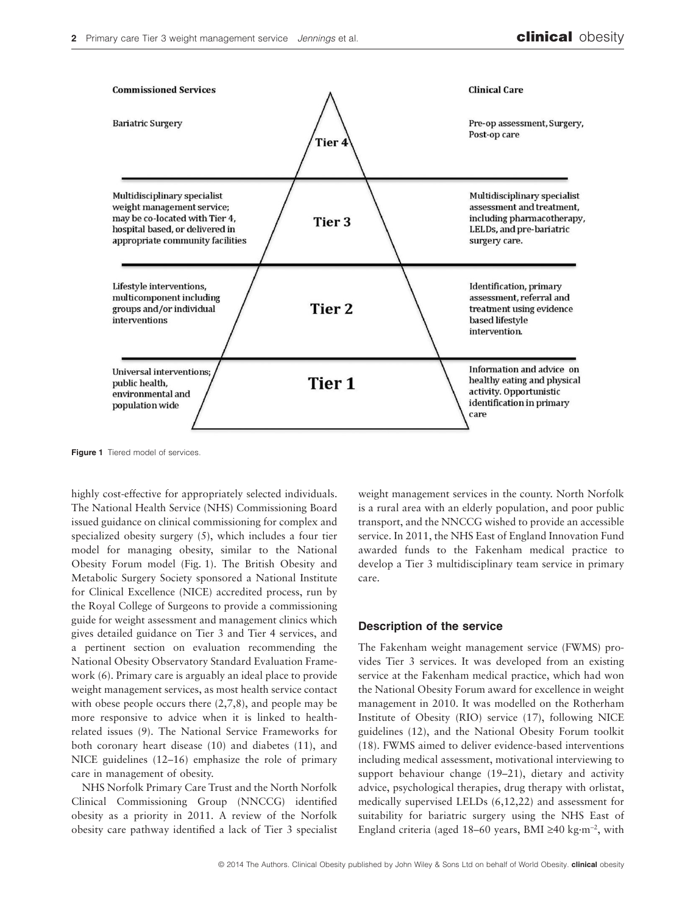

**Figure 1** Tiered model of services

highly cost-effective for appropriately selected individuals. The National Health Service (NHS) Commissioning Board issued guidance on clinical commissioning for complex and specialized obesity surgery (5), which includes a four tier model for managing obesity, similar to the National Obesity Forum model (Fig. 1). The British Obesity and Metabolic Surgery Society sponsored a National Institute for Clinical Excellence (NICE) accredited process, run by the Royal College of Surgeons to provide a commissioning guide for weight assessment and management clinics which gives detailed guidance on Tier 3 and Tier 4 services, and a pertinent section on evaluation recommending the National Obesity Observatory Standard Evaluation Framework (6). Primary care is arguably an ideal place to provide weight management services, as most health service contact with obese people occurs there  $(2,7,8)$ , and people may be more responsive to advice when it is linked to healthrelated issues (9). The National Service Frameworks for both coronary heart disease (10) and diabetes (11), and NICE guidelines (12–16) emphasize the role of primary care in management of obesity.

NHS Norfolk Primary Care Trust and the North Norfolk Clinical Commissioning Group (NNCCG) identified obesity as a priority in 2011. A review of the Norfolk obesity care pathway identified a lack of Tier 3 specialist

weight management services in the county. North Norfolk is a rural area with an elderly population, and poor public transport, and the NNCCG wished to provide an accessible service. In 2011, the NHS East of England Innovation Fund awarded funds to the Fakenham medical practice to develop a Tier 3 multidisciplinary team service in primary care.

# **Description of the service**

The Fakenham weight management service (FWMS) provides Tier 3 services. It was developed from an existing service at the Fakenham medical practice, which had won the National Obesity Forum award for excellence in weight management in 2010. It was modelled on the Rotherham Institute of Obesity (RIO) service (17), following NICE guidelines (12), and the National Obesity Forum toolkit (18). FWMS aimed to deliver evidence-based interventions including medical assessment, motivational interviewing to support behaviour change (19–21), dietary and activity advice, psychological therapies, drug therapy with orlistat, medically supervised LELDs (6,12,22) and assessment for suitability for bariatric surgery using the NHS East of England criteria (aged 18–60 years, BMI ≥40 kg·m<sup>−</sup><sup>2</sup> , with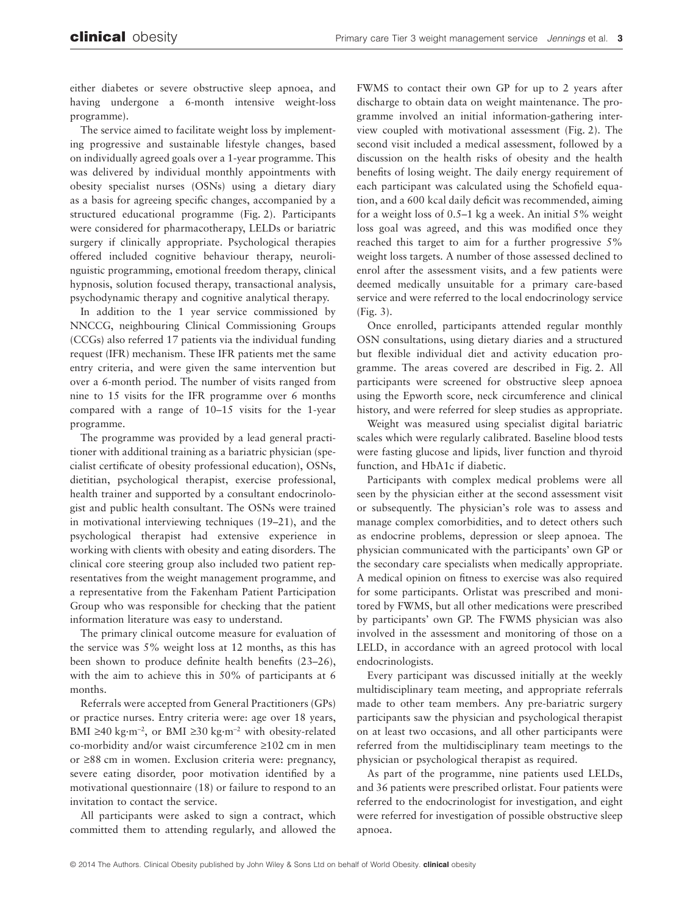either diabetes or severe obstructive sleep apnoea, and having undergone a 6-month intensive weight-loss programme).

The service aimed to facilitate weight loss by implementing progressive and sustainable lifestyle changes, based on individually agreed goals over a 1-year programme. This was delivered by individual monthly appointments with obesity specialist nurses (OSNs) using a dietary diary as a basis for agreeing specific changes, accompanied by a structured educational programme (Fig. 2). Participants were considered for pharmacotherapy, LELDs or bariatric surgery if clinically appropriate. Psychological therapies offered included cognitive behaviour therapy, neurolinguistic programming, emotional freedom therapy, clinical hypnosis, solution focused therapy, transactional analysis, psychodynamic therapy and cognitive analytical therapy.

In addition to the 1 year service commissioned by NNCCG, neighbouring Clinical Commissioning Groups (CCGs) also referred 17 patients via the individual funding request (IFR) mechanism. These IFR patients met the same entry criteria, and were given the same intervention but over a 6-month period. The number of visits ranged from nine to 15 visits for the IFR programme over 6 months compared with a range of 10–15 visits for the 1-year programme.

The programme was provided by a lead general practitioner with additional training as a bariatric physician (specialist certificate of obesity professional education), OSNs, dietitian, psychological therapist, exercise professional, health trainer and supported by a consultant endocrinologist and public health consultant. The OSNs were trained in motivational interviewing techniques (19–21), and the psychological therapist had extensive experience in working with clients with obesity and eating disorders. The clinical core steering group also included two patient representatives from the weight management programme, and a representative from the Fakenham Patient Participation Group who was responsible for checking that the patient information literature was easy to understand.

The primary clinical outcome measure for evaluation of the service was 5% weight loss at 12 months, as this has been shown to produce definite health benefits (23–26), with the aim to achieve this in 50% of participants at 6 months.

Referrals were accepted from General Practitioners (GPs) or practice nurses. Entry criteria were: age over 18 years, BMI ≥40 kg·m<sup>−</sup><sup>2</sup> , or BMI ≥30 kg·m<sup>−</sup><sup>2</sup> with obesity-related co-morbidity and/or waist circumference ≥102 cm in men or ≥88 cm in women. Exclusion criteria were: pregnancy, severe eating disorder, poor motivation identified by a motivational questionnaire (18) or failure to respond to an invitation to contact the service.

All participants were asked to sign a contract, which committed them to attending regularly, and allowed the FWMS to contact their own GP for up to 2 years after discharge to obtain data on weight maintenance. The programme involved an initial information-gathering interview coupled with motivational assessment (Fig. 2). The second visit included a medical assessment, followed by a discussion on the health risks of obesity and the health benefits of losing weight. The daily energy requirement of each participant was calculated using the Schofield equation, and a 600 kcal daily deficit was recommended, aiming for a weight loss of 0.5–1 kg a week. An initial 5% weight loss goal was agreed, and this was modified once they reached this target to aim for a further progressive 5% weight loss targets. A number of those assessed declined to enrol after the assessment visits, and a few patients were deemed medically unsuitable for a primary care-based service and were referred to the local endocrinology service (Fig. 3).

Once enrolled, participants attended regular monthly OSN consultations, using dietary diaries and a structured but flexible individual diet and activity education programme. The areas covered are described in Fig. 2. All participants were screened for obstructive sleep apnoea using the Epworth score, neck circumference and clinical history, and were referred for sleep studies as appropriate.

Weight was measured using specialist digital bariatric scales which were regularly calibrated. Baseline blood tests were fasting glucose and lipids, liver function and thyroid function, and HbA1c if diabetic.

Participants with complex medical problems were all seen by the physician either at the second assessment visit or subsequently. The physician's role was to assess and manage complex comorbidities, and to detect others such as endocrine problems, depression or sleep apnoea. The physician communicated with the participants' own GP or the secondary care specialists when medically appropriate. A medical opinion on fitness to exercise was also required for some participants. Orlistat was prescribed and monitored by FWMS, but all other medications were prescribed by participants' own GP. The FWMS physician was also involved in the assessment and monitoring of those on a LELD, in accordance with an agreed protocol with local endocrinologists.

Every participant was discussed initially at the weekly multidisciplinary team meeting, and appropriate referrals made to other team members. Any pre-bariatric surgery participants saw the physician and psychological therapist on at least two occasions, and all other participants were referred from the multidisciplinary team meetings to the physician or psychological therapist as required.

As part of the programme, nine patients used LELDs, and 36 patients were prescribed orlistat. Four patients were referred to the endocrinologist for investigation, and eight were referred for investigation of possible obstructive sleep apnoea.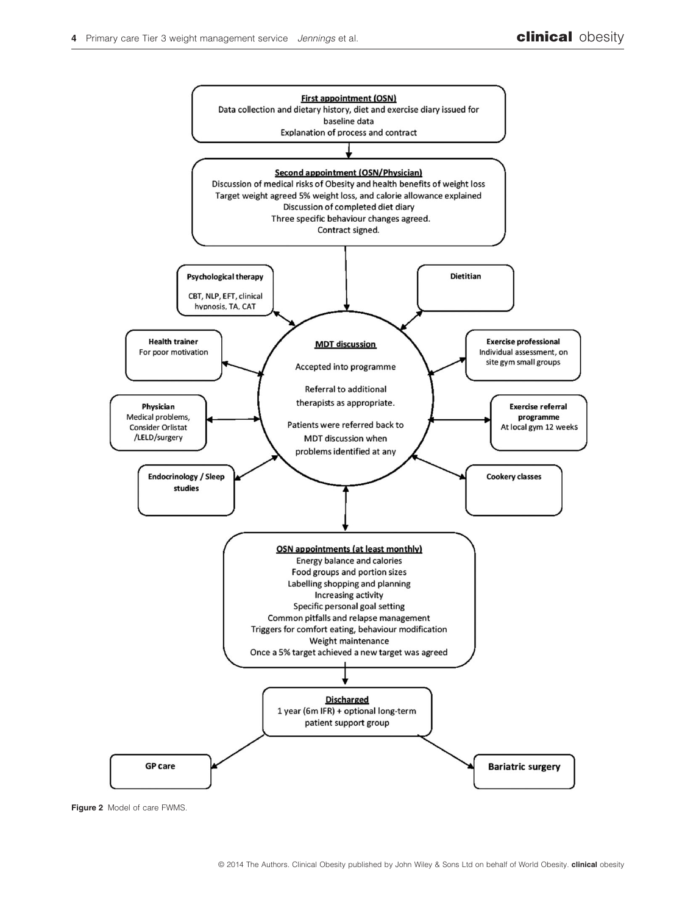

**Figure 2** Model of care FWMS.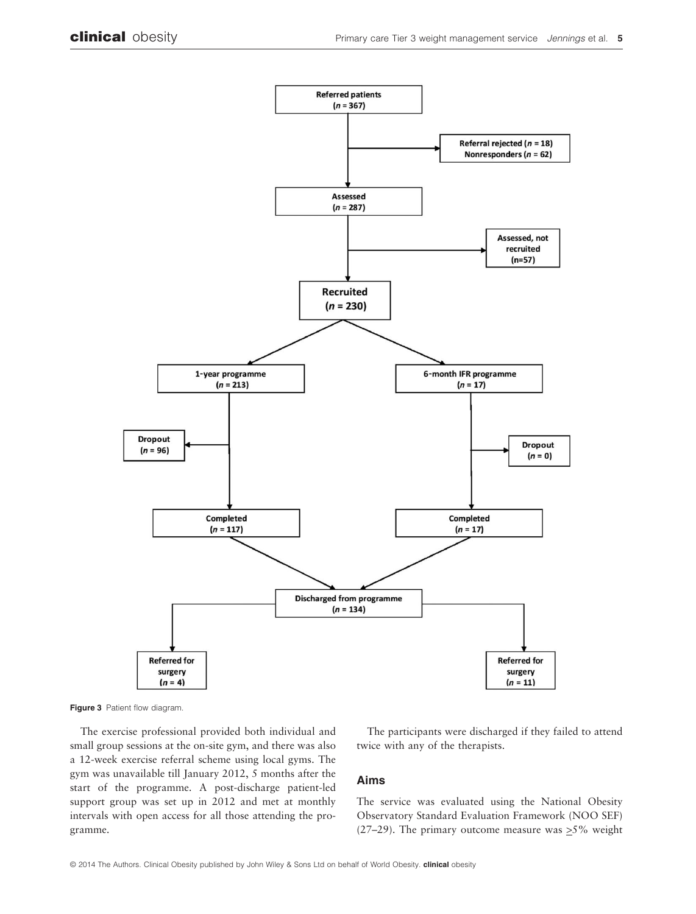



The exercise professional provided both individual and small group sessions at the on-site gym, and there was also a 12-week exercise referral scheme using local gyms. The gym was unavailable till January 2012, 5 months after the start of the programme. A post-discharge patient-led support group was set up in 2012 and met at monthly intervals with open access for all those attending the programme.

The participants were discharged if they failed to attend twice with any of the therapists.

## **Aims**

The service was evaluated using the National Obesity Observatory Standard Evaluation Framework (NOO SEF) (27–29). The primary outcome measure was  $\geq$ 5% weight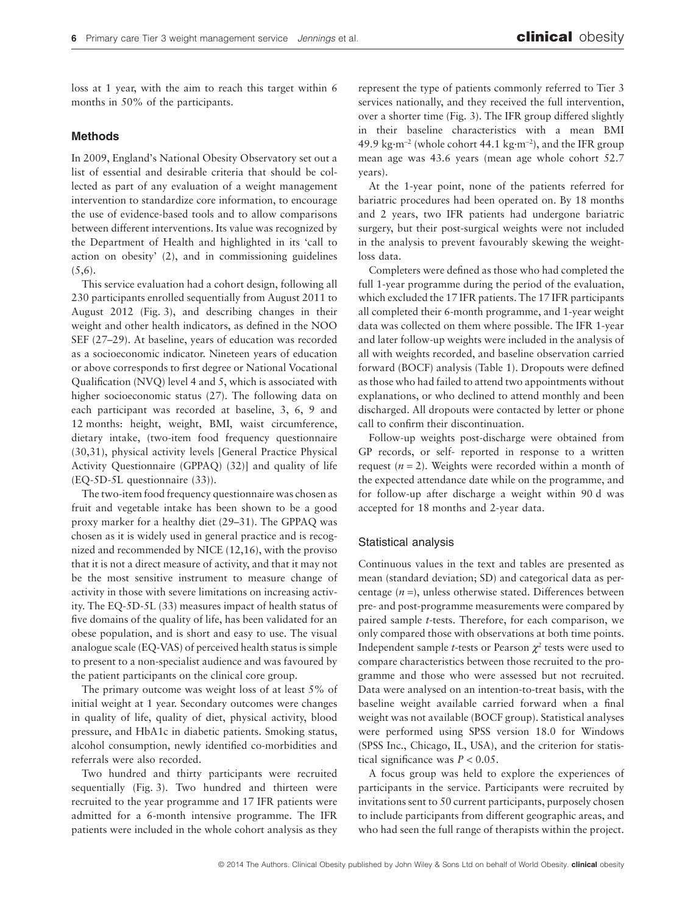loss at 1 year, with the aim to reach this target within 6 months in 50% of the participants.

#### **Methods**

In 2009, England's National Obesity Observatory set out a list of essential and desirable criteria that should be collected as part of any evaluation of a weight management intervention to standardize core information, to encourage the use of evidence-based tools and to allow comparisons between different interventions. Its value was recognized by the Department of Health and highlighted in its 'call to action on obesity' (2), and in commissioning guidelines  $(5,6)$ .

This service evaluation had a cohort design, following all 230 participants enrolled sequentially from August 2011 to August 2012 (Fig. 3), and describing changes in their weight and other health indicators, as defined in the NOO SEF (27–29). At baseline, years of education was recorded as a socioeconomic indicator. Nineteen years of education or above corresponds to first degree or National Vocational Qualification (NVQ) level 4 and 5, which is associated with higher socioeconomic status (27). The following data on each participant was recorded at baseline, 3, 6, 9 and 12 months: height, weight, BMI, waist circumference, dietary intake, (two-item food frequency questionnaire (30,31), physical activity levels [General Practice Physical Activity Questionnaire (GPPAQ) (32)] and quality of life (EQ-5D-5L questionnaire (33)).

The two-item food frequency questionnaire was chosen as fruit and vegetable intake has been shown to be a good proxy marker for a healthy diet (29–31). The GPPAQ was chosen as it is widely used in general practice and is recognized and recommended by NICE (12,16), with the proviso that it is not a direct measure of activity, and that it may not be the most sensitive instrument to measure change of activity in those with severe limitations on increasing activity. The EQ-5D-5L (33) measures impact of health status of five domains of the quality of life, has been validated for an obese population, and is short and easy to use. The visual analogue scale (EQ-VAS) of perceived health status is simple to present to a non-specialist audience and was favoured by the patient participants on the clinical core group.

The primary outcome was weight loss of at least 5% of initial weight at 1 year. Secondary outcomes were changes in quality of life, quality of diet, physical activity, blood pressure, and HbA1c in diabetic patients. Smoking status, alcohol consumption, newly identified co-morbidities and referrals were also recorded.

Two hundred and thirty participants were recruited sequentially (Fig. 3). Two hundred and thirteen were recruited to the year programme and 17 IFR patients were admitted for a 6-month intensive programme. The IFR patients were included in the whole cohort analysis as they

represent the type of patients commonly referred to Tier 3 services nationally, and they received the full intervention, over a shorter time (Fig. 3). The IFR group differed slightly in their baseline characteristics with a mean BMI 49.9 kg·m<sup>−</sup><sup>2</sup> (whole cohort 44.1 kg·m<sup>−</sup><sup>2</sup> ), and the IFR group mean age was 43.6 years (mean age whole cohort 52.7 years).

At the 1-year point, none of the patients referred for bariatric procedures had been operated on. By 18 months and 2 years, two IFR patients had undergone bariatric surgery, but their post-surgical weights were not included in the analysis to prevent favourably skewing the weightloss data.

Completers were defined as those who had completed the full 1-year programme during the period of the evaluation, which excluded the 17 IFR patients. The 17 IFR participants all completed their 6-month programme, and 1-year weight data was collected on them where possible. The IFR 1-year and later follow-up weights were included in the analysis of all with weights recorded, and baseline observation carried forward (BOCF) analysis (Table 1). Dropouts were defined as those who had failed to attend two appointments without explanations, or who declined to attend monthly and been discharged. All dropouts were contacted by letter or phone call to confirm their discontinuation.

Follow-up weights post-discharge were obtained from GP records, or self- reported in response to a written request  $(n = 2)$ . Weights were recorded within a month of the expected attendance date while on the programme, and for follow-up after discharge a weight within 90 d was accepted for 18 months and 2-year data.

#### Statistical analysis

Continuous values in the text and tables are presented as mean (standard deviation; SD) and categorical data as percentage (*n* =), unless otherwise stated. Differences between pre- and post-programme measurements were compared by paired sample *t*-tests. Therefore, for each comparison, we only compared those with observations at both time points. Independent sample *t*-tests or Pearson  $\chi^2$  tests were used to compare characteristics between those recruited to the programme and those who were assessed but not recruited. Data were analysed on an intention-to-treat basis, with the baseline weight available carried forward when a final weight was not available (BOCF group). Statistical analyses were performed using SPSS version 18.0 for Windows (SPSS Inc., Chicago, IL, USA), and the criterion for statistical significance was *P* < 0.05.

A focus group was held to explore the experiences of participants in the service. Participants were recruited by invitations sent to 50 current participants, purposely chosen to include participants from different geographic areas, and who had seen the full range of therapists within the project.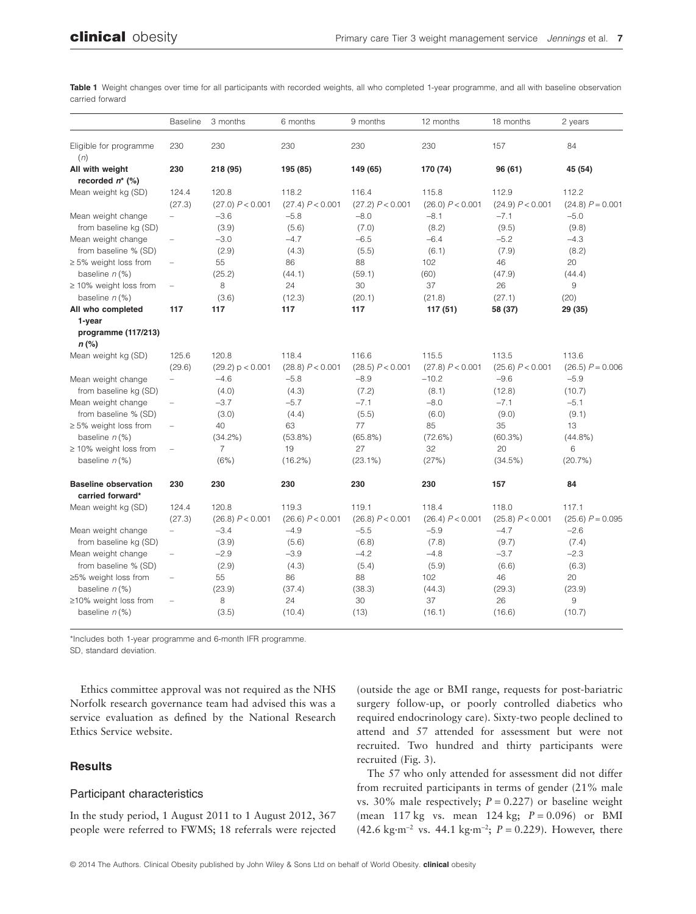|                                                 | <b>Baseline</b>          | 3 months         | 6 months         | 9 months         | 12 months        | 18 months        | 2 years            |
|-------------------------------------------------|--------------------------|------------------|------------------|------------------|------------------|------------------|--------------------|
| Eligible for programme<br>(n)                   | 230                      | 230              | 230              | 230              | 230              | 157              | 84                 |
| All with weight                                 | 230                      | 218 (95)         | 195 (85)         | 149 (65)         | 170 (74)         | 96 (61)          | 45 (54)            |
| recorded $n^*$ (%)                              |                          |                  |                  |                  |                  |                  |                    |
| Mean weight kg (SD)                             | 124.4                    | 120.8            | 118.2            | 116.4            | 115.8            | 112.9            | 112.2              |
|                                                 | (27.3)                   | (27.0) P < 0.001 | (27.4) P < 0.001 | (27.2) P < 0.001 | (26.0) P < 0.001 | (24.9) P < 0.001 | $(24.8) P = 0.001$ |
| Mean weight change                              |                          | $-3.6$           | $-5.8$           | $-8.0$           | $-8.1$           | $-7.1$           | $-5.0$             |
| from baseline kg (SD)                           |                          | (3.9)            | (5.6)            | (7.0)            | (8.2)            | (9.5)            | (9.8)              |
| Mean weight change                              | $\qquad \qquad -$        | $-3.0$           | $-4.7$           | $-6.5$           | $-6.4$           | $-5.2$           | $-4.3$             |
| from baseline % (SD)                            |                          | (2.9)            | (4.3)            | (5.5)            | (6.1)            | (7.9)            | (8.2)              |
| $\geq$ 5% weight loss from                      | $\overline{\phantom{0}}$ | 55               | 86               | 88               | 102              | 46               | 20                 |
| baseline $n$ (%)                                |                          | (25.2)           | (44.1)           | (59.1)           | (60)             | (47.9)           | (44.4)             |
| $\geq$ 10% weight loss from                     | $\overline{\phantom{0}}$ | 8                | 24               | 30               | 37               | 26               | $\hbox{9}$         |
| baseline $n$ (%)                                |                          | (3.6)            | (12.3)           | (20.1)           | (21.8)           | (27.1)           | (20)               |
| All who completed                               | 117                      | 117              | 117              | 117              | 117(51)          | 58 (37)          | 29 (35)            |
| 1-year                                          |                          |                  |                  |                  |                  |                  |                    |
| programme (117/213)                             |                          |                  |                  |                  |                  |                  |                    |
| $n$ (%)                                         |                          |                  |                  |                  |                  |                  |                    |
| Mean weight kg (SD)                             | 125.6                    | 120.8            | 118.4            | 116.6            | 115.5            | 113.5            | 113.6              |
|                                                 | (29.6)                   | (29.2) p < 0.001 | (28.8) P < 0.001 | (28.5) P < 0.001 | (27.8) P < 0.001 | (25.6) P < 0.001 | $(26.5) P = 0.006$ |
| Mean weight change                              |                          | $-4.6$           | $-5.8$           | $-8.9$           | $-10.2$          | $-9.6$           | $-5.9$             |
| from baseline kg (SD)                           |                          | (4.0)            | (4.3)            | (7.2)            | (8.1)            | (12.8)           | (10.7)             |
| Mean weight change                              | $\qquad \qquad -$        | $-3.7$           | $-5.7$           | $-7.1$           | $-8.0$           | $-7.1$           | $-5.1$             |
| from baseline % (SD)                            |                          | (3.0)            | (4.4)            | (5.5)            | (6.0)            | (9.0)            | (9.1)              |
| $\geq$ 5% weight loss from                      | $\qquad \qquad -$        | 40               | 63               | 77               | 85               | 35               | 13                 |
| baseline $n$ (%)                                |                          | $(34.2\%)$       | $(53.8\%)$       | $(65.8\%)$       | (72.6%)          | (60.3%)          | $(44.8\%)$         |
| $\geq$ 10% weight loss from                     | $\qquad \qquad -$        | 7                | 19               | 27               | 32               | 20               | 6                  |
| baseline $n$ (%)                                |                          | (6%)             | $(16.2\%)$       | $(23.1\%)$       | (27%)            | (34.5%)          | (20.7%)            |
| <b>Baseline observation</b><br>carried forward* | 230                      | 230              | 230              | 230              | 230              | 157              | 84                 |
| Mean weight kg (SD)                             | 124.4                    | 120.8            | 119.3            | 119.1            | 118.4            | 118.0            | 117.1              |
|                                                 | (27.3)                   | (26.8) P < 0.001 | (26.6) P < 0.001 | (26.8) P < 0.001 | (26.4) P < 0.001 | (25.8) P < 0.001 | $(25.6) P = 0.095$ |
| Mean weight change                              | $\overline{\phantom{0}}$ | $-3.4$           | $-4.9$           | $-5.5$           | $-5.9$           | $-4.7$           | $-2.6$             |
| from baseline kg (SD)                           |                          | (3.9)            | (5.6)            | (6.8)            | (7.8)            | (9.7)            | (7.4)              |
| Mean weight change                              | $\qquad \qquad -$        | $-2.9$           | $-3.9$           | $-4.2$           | $-4.8$           | $-3.7$           | $-2.3$             |
| from baseline % (SD)                            |                          | (2.9)            | (4.3)            | (5.4)            | (5.9)            | (6.6)            | (6.3)              |
| ≥5% weight loss from                            | $\overline{\phantom{0}}$ | 55               | 86               | 88               | 102              | 46               | 20                 |

(23.9) (37.4) (38.3) (44.3) (29.3) (23.9)

(3.5) (10.4) (13) (16.1) (16.6) (10.7)

– 8 24 30 37 26 9

**Table 1** Weight changes over time for all participants with recorded weights, all who completed 1-year programme, and all with baseline observation carried forward

\*Includes both 1-year programme and 6-month IFR programme.

SD, standard deviation.

baseline *n* (%)

≥10% weight loss from baseline *n* (%)

Ethics committee approval was not required as the NHS Norfolk research governance team had advised this was a service evaluation as defined by the National Research Ethics Service website.

# **Results**

#### Participant characteristics

In the study period, 1 August 2011 to 1 August 2012, 367 people were referred to FWMS; 18 referrals were rejected (outside the age or BMI range, requests for post-bariatric surgery follow-up, or poorly controlled diabetics who required endocrinology care). Sixty-two people declined to attend and 57 attended for assessment but were not recruited. Two hundred and thirty participants were recruited (Fig. 3).

The 57 who only attended for assessment did not differ from recruited participants in terms of gender (21% male vs. 30% male respectively;  $P = 0.227$ ) or baseline weight (mean 117 kg vs. mean 124 kg; *P* = 0.096) or BMI (42.6 kg·m<sup>−</sup><sup>2</sup> vs. 44.1 kg·m<sup>−</sup><sup>2</sup> ; *P* = 0.229). However, there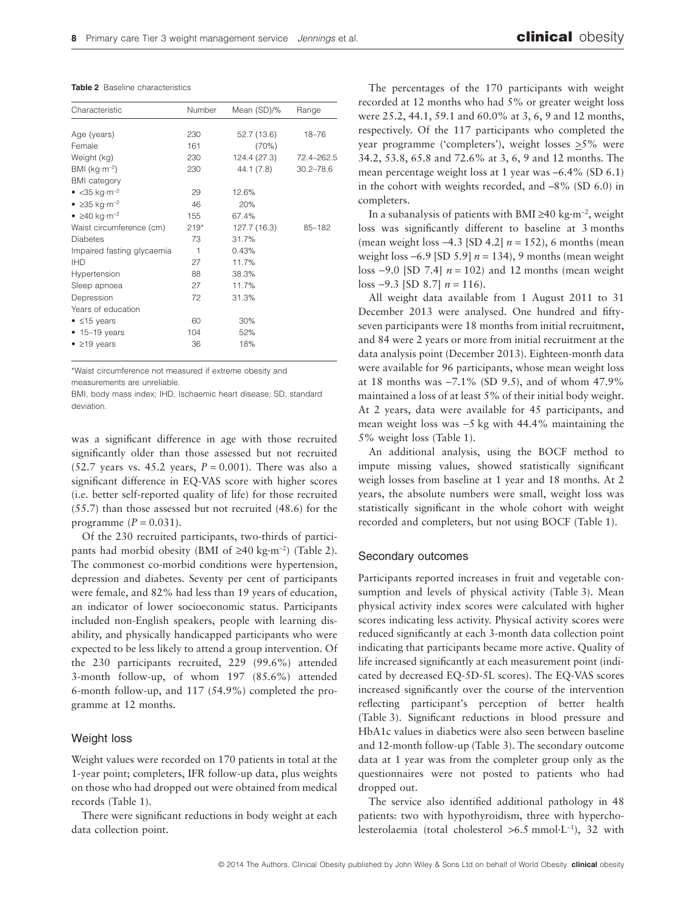**Table 2** Baseline characteristics

| Characteristic                         | Number | Mean (SD)/%  | Range         |
|----------------------------------------|--------|--------------|---------------|
|                                        |        |              |               |
| Age (years)                            | 230    | 52.7 (13.6)  | $18 - 76$     |
| Female                                 | 161    | (70%)        |               |
| Weight (kg)                            | 230    | 124.4 (27.3) | 72.4-262.5    |
| BMI ( $kg·m-2$ )                       | 230    | 44.1 (7.8)   | $30.2 - 78.6$ |
| <b>BMI</b> category                    |        |              |               |
| • $<$ 35 kg·m <sup>-2</sup>            | 29     | 12.6%        |               |
| $\bullet$ $\geq$ 35 kg·m <sup>-2</sup> | 46     | 20%          |               |
| $\bullet$ $\geq$ 40 kg·m <sup>-2</sup> | 155    | 67.4%        |               |
| Waist circumference (cm)               | $219*$ | 127.7 (16.3) | 85-182        |
| <b>Diabetes</b>                        | 73     | 31.7%        |               |
| Impaired fasting glycaemia             | 1      | 0.43%        |               |
| <b>IHD</b>                             | 27     | 11.7%        |               |
| Hypertension                           | 88     | 38.3%        |               |
| Sleep apnoea                           | 27     | 11.7%        |               |
| Depression                             | 72     | 31.3%        |               |
| Years of education                     |        |              |               |
| $\bullet$ $\leq$ 15 years              | 60     | 30%          |               |
| $\bullet$ 15-19 years                  | 104    | 52%          |               |
| $\bullet$ $\geq$ 19 years              | 36     | 18%          |               |
|                                        |        |              |               |

\*Waist circumference not measured if extreme obesity and measurements are unreliable.

BMI, body mass index; IHD, Ischaemic heart disease; SD, standard deviation.

was a significant difference in age with those recruited significantly older than those assessed but not recruited (52.7 years vs. 45.2 years,  $P = 0.001$ ). There was also a significant difference in EQ-VAS score with higher scores (i.e. better self-reported quality of life) for those recruited (55.7) than those assessed but not recruited (48.6) for the programme  $(P = 0.031)$ .

Of the 230 recruited participants, two-thirds of participants had morbid obesity (BMI of ≥40 kg·m<sup>−</sup><sup>2</sup> ) (Table 2). The commonest co-morbid conditions were hypertension, depression and diabetes. Seventy per cent of participants were female, and 82% had less than 19 years of education, an indicator of lower socioeconomic status. Participants included non-English speakers, people with learning disability, and physically handicapped participants who were expected to be less likely to attend a group intervention. Of the 230 participants recruited, 229 (99.6%) attended 3-month follow-up, of whom 197 (85.6%) attended 6-month follow-up, and 117 (54.9%) completed the programme at 12 months.

# Weight loss

Weight values were recorded on 170 patients in total at the 1-year point; completers, IFR follow-up data, plus weights on those who had dropped out were obtained from medical records (Table 1).

There were significant reductions in body weight at each data collection point.

The percentages of the 170 participants with weight recorded at 12 months who had 5% or greater weight loss were 25.2, 44.1, 59.1 and 60.0% at 3, 6, 9 and 12 months, respectively. Of the 117 participants who completed the year programme ('completers'), weight losses  $\geq$ 5% were 34.2, 53.8, 65.8 and 72.6% at 3, 6, 9 and 12 months. The mean percentage weight loss at 1 year was –6.4% (SD 6.1) in the cohort with weights recorded, and –8% (SD 6.0) in completers.

In a subanalysis of patients with BMI ≥40 kg·m<sup>−</sup><sup>2</sup> , weight loss was significantly different to baseline at 3 months (mean weight loss −4.3 [SD 4.2] *n* = 152), 6 months (mean weight loss −6.9 [SD 5.9] *n* = 134), 9 months (mean weight loss −9.0 [SD 7.4] *n* = 102) and 12 months (mean weight loss −9.3 [SD 8.7] *n* = 116).

All weight data available from 1 August 2011 to 31 December 2013 were analysed. One hundred and fiftyseven participants were 18 months from initial recruitment, and 84 were 2 years or more from initial recruitment at the data analysis point (December 2013). Eighteen-month data were available for 96 participants, whose mean weight loss at 18 months was −7.1% (SD 9.5), and of whom 47.9% maintained a loss of at least 5% of their initial body weight. At 2 years, data were available for 45 participants, and mean weight loss was −5 kg with 44.4% maintaining the 5% weight loss (Table 1).

An additional analysis, using the BOCF method to impute missing values, showed statistically significant weigh losses from baseline at 1 year and 18 months. At 2 years, the absolute numbers were small, weight loss was statistically significant in the whole cohort with weight recorded and completers, but not using BOCF (Table 1).

# Secondary outcomes

Participants reported increases in fruit and vegetable consumption and levels of physical activity (Table 3). Mean physical activity index scores were calculated with higher scores indicating less activity. Physical activity scores were reduced significantly at each 3-month data collection point indicating that participants became more active. Quality of life increased significantly at each measurement point (indicated by decreased EQ-5D-5L scores). The EQ-VAS scores increased significantly over the course of the intervention reflecting participant's perception of better health (Table 3). Significant reductions in blood pressure and HbA1c values in diabetics were also seen between baseline and 12-month follow-up (Table 3). The secondary outcome data at 1 year was from the completer group only as the questionnaires were not posted to patients who had dropped out.

The service also identified additional pathology in 48 patients: two with hypothyroidism, three with hypercholesterolaemia (total cholesterol >6.5 mmol·L<sup>−</sup><sup>1</sup> ), 32 with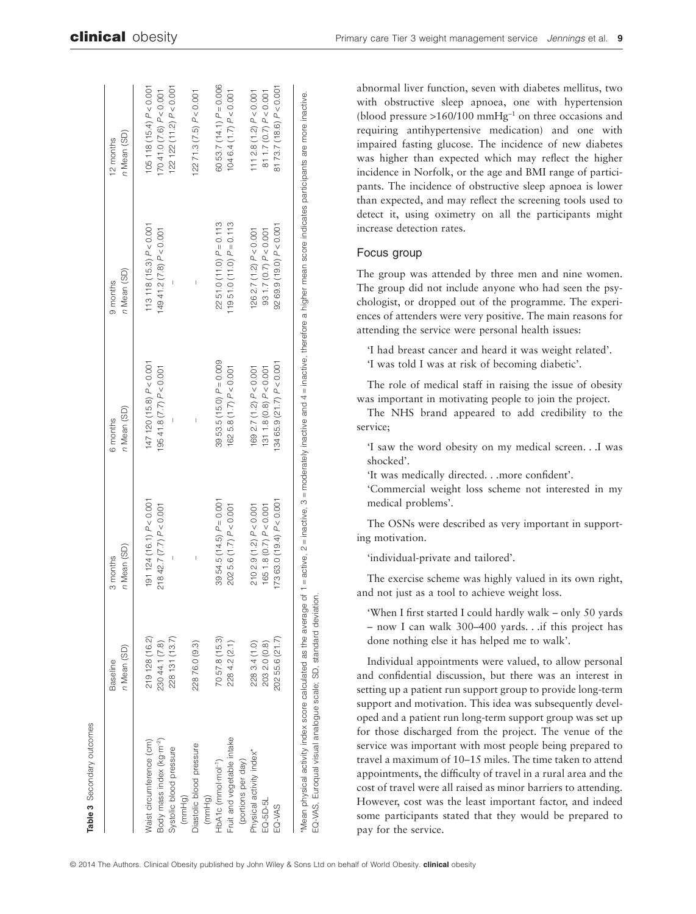|                                       | n Mean (SD)<br><b>Baseline</b> | n Mean (SD)<br>3 months      | n Mean (SD)<br>6 months      | n Mean (SD)<br>9 months       | n Mean (SD)<br>12 months     |
|---------------------------------------|--------------------------------|------------------------------|------------------------------|-------------------------------|------------------------------|
| Vaist circumference (cm)              | 219 128 (16.2)                 | 191 124 (16.1) $P < 0.001$   | $147$ 120 (15.8) $P < 0.001$ | $113118(15.3)$ $P < 0.001$    | $105118(15.4)$ $P < 0.001$   |
| Body mass index (kg·m <sup>-2</sup> ) | 230 44.1 (7.8)                 | $218$ 42.7 (7.7) $P < 0.001$ | 19541.8(7.7) P < 0.001       | $14941.2(7.8)$ $P < 0.001$    | $17041.0(7.6)$ $P < 0.001$   |
| Systolic blood pressure               | 228 131 (13.7)                 |                              |                              |                               | 122 122 (11.2) $P < 0.001$   |
| (mmHg)                                |                                |                              |                              |                               |                              |
| Diastolic blood pressure              | 22876.0 (9.3)                  |                              |                              |                               | $122$ 71.3 (7.5) $P < 0.001$ |
| (mmHg)                                |                                |                              |                              |                               |                              |
| HbA1c (mmol·mol <sup>-1</sup> )       | 7057.8 (15.3)                  | 39 54.5 (14.5) $P = 0.001$   | 39 53.5 $(15.0) P = 0.009$   | $2251.0(11.0) P = 0.113$      | 60 53.7 (14.1) $P = 0.006$   |
| Fruit and vegetable intake            | 2284.2(2.1)                    | 2025.6(1.7) P < 0.001        | 1625.8(1.7)P < 0.001         | 119 51.0 $(11.0)$ $P = 0.113$ | $1046.4(1.7)$ $P < 0.001$    |
| (portions per day)                    |                                |                              |                              |                               |                              |
| Physical activity index*              | 2283.4 (1.0)                   | $2102.9(1.2)$ $P < 0.001$    | 169 $2.7(1.2)$ $P < 0.001$   | 126 2.7 (1.2) $P < 0.001$     | $1112.8(1.2)$ $P < 0.001$    |
| EQ-5D-5L                              | 2032.0 (0.8)                   | 165 1.8 (0.7) P< 0.001       | $1311.8(0.8)$ $P < 0.001$    | 93 1.7 (0.7) $P < 0.001$      | 81 1.7 (0.7) $P < 0.001$     |
| EQ-VAS                                | 202 55.6 (21.7)                | 173 63.0 (19.4) $P < 0.001$  | $13465.9(21.7)$ $P < 0.001$  | $9269.9(19.0) P < 0.001$      | 8173.7(18.6) P< 0.001        |

abnormal liver function, seven with diabetes mellitus, two with obstructive sleep apnoea, one with hypertension (blood pressure >160/100 mmHg<sup>−</sup><sup>1</sup> on three occasions and requiring antihypertensive medication) and one with impaired fasting glucose. The incidence of new diabetes was higher than expected which may reflect the higher incidence in Norfolk, or the age and BMI range of participants. The incidence of obstructive sleep apnoea is lower than expected, and may reflect the screening tools used to detect it, using oximetry on all the participants might increase detection rates.

## Focus group

The group was attended by three men and nine women. The group did not include anyone who had seen the psychologist, or dropped out of the programme. The experiences of attenders were very positive. The main reasons for attending the service were personal health issues:

'I had breast cancer and heard it was weight related'. 'I was told I was at risk of becoming diabetic'.

The role of medical staff in raising the issue of obesity was important in motivating people to join the project.

The NHS brand appeared to add credibility to the service;

'I saw the word obesity on my medical screen. . .I was shocked'.

'It was medically directed. . .more confident'.

'Commercial weight loss scheme not interested in my medical problems'.

The OSNs were described as very important in supporting motivation.

'individual-private and tailored'.

The exercise scheme was highly valued in its own right, and not just as a tool to achieve weight loss.

'When I first started I could hardly walk – only 50 yards – now I can walk 300–400 yards. . .if this project has done nothing else it has helped me to walk'.

Individual appointments were valued, to allow personal and confidential discussion, but there was an interest in setting up a patient run support group to provide long-term support and motivation. This idea was subsequently developed and a patient run long-term support group was set up for those discharged from the project. The venue of the service was important with most people being prepared to travel a maximum of 10–15 miles. The time taken to attend appointments, the difficulty of travel in a rural area and the cost of travel were all raised as minor barriers to attending. However, cost was the least important factor, and indeed some participants stated that they would be prepared to pay for the service.

**Table 3** Secondary outcomes

Secondary outcomes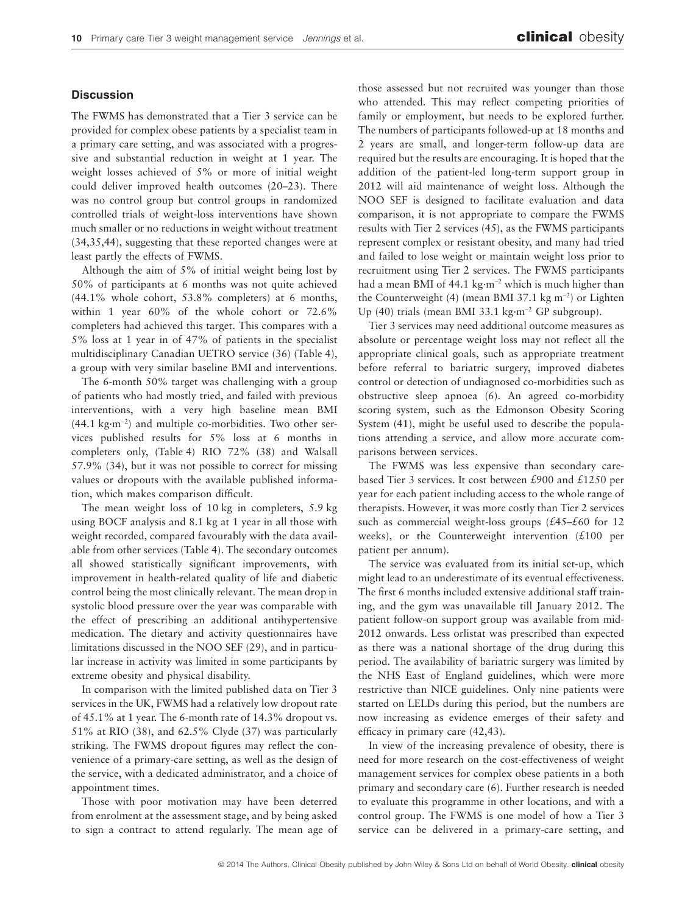# **Discussion**

The FWMS has demonstrated that a Tier 3 service can be provided for complex obese patients by a specialist team in a primary care setting, and was associated with a progressive and substantial reduction in weight at 1 year. The weight losses achieved of 5% or more of initial weight could deliver improved health outcomes (20–23). There was no control group but control groups in randomized controlled trials of weight-loss interventions have shown much smaller or no reductions in weight without treatment (34,35,44), suggesting that these reported changes were at least partly the effects of FWMS.

Although the aim of 5% of initial weight being lost by 50% of participants at 6 months was not quite achieved (44.1% whole cohort, 53.8% completers) at 6 months, within 1 year 60% of the whole cohort or 72.6% completers had achieved this target. This compares with a 5% loss at 1 year in of 47% of patients in the specialist multidisciplinary Canadian UETRO service (36) (Table 4), a group with very similar baseline BMI and interventions.

The 6-month 50% target was challenging with a group of patients who had mostly tried, and failed with previous interventions, with a very high baseline mean BMI (44.1 kg·m<sup>−</sup><sup>2</sup> ) and multiple co-morbidities. Two other services published results for 5% loss at 6 months in completers only, (Table 4) RIO 72% (38) and Walsall 57.9% (34), but it was not possible to correct for missing values or dropouts with the available published information, which makes comparison difficult.

The mean weight loss of 10 kg in completers, 5.9 kg using BOCF analysis and 8.1 kg at 1 year in all those with weight recorded, compared favourably with the data available from other services (Table 4). The secondary outcomes all showed statistically significant improvements, with improvement in health-related quality of life and diabetic control being the most clinically relevant. The mean drop in systolic blood pressure over the year was comparable with the effect of prescribing an additional antihypertensive medication. The dietary and activity questionnaires have limitations discussed in the NOO SEF (29), and in particular increase in activity was limited in some participants by extreme obesity and physical disability.

In comparison with the limited published data on Tier 3 services in the UK, FWMS had a relatively low dropout rate of 45.1% at 1 year. The 6-month rate of 14.3% dropout vs. 51% at RIO (38), and 62.5% Clyde (37) was particularly striking. The FWMS dropout figures may reflect the convenience of a primary-care setting, as well as the design of the service, with a dedicated administrator, and a choice of appointment times.

Those with poor motivation may have been deterred from enrolment at the assessment stage, and by being asked to sign a contract to attend regularly. The mean age of

those assessed but not recruited was younger than those who attended. This may reflect competing priorities of family or employment, but needs to be explored further. The numbers of participants followed-up at 18 months and 2 years are small, and longer-term follow-up data are required but the results are encouraging. It is hoped that the addition of the patient-led long-term support group in 2012 will aid maintenance of weight loss. Although the NOO SEF is designed to facilitate evaluation and data comparison, it is not appropriate to compare the FWMS results with Tier 2 services (45), as the FWMS participants represent complex or resistant obesity, and many had tried and failed to lose weight or maintain weight loss prior to recruitment using Tier 2 services. The FWMS participants had a mean BMI of 44.1 kg·m<sup>−</sup><sup>2</sup> which is much higher than the Counterweight (4) (mean BMI 37.1 kg m<sup>−</sup><sup>2</sup> ) or Lighten Up (40) trials (mean BMI 33.1 kg·m<sup>−</sup><sup>2</sup> GP subgroup).

Tier 3 services may need additional outcome measures as absolute or percentage weight loss may not reflect all the appropriate clinical goals, such as appropriate treatment before referral to bariatric surgery, improved diabetes control or detection of undiagnosed co-morbidities such as obstructive sleep apnoea (6). An agreed co-morbidity scoring system, such as the Edmonson Obesity Scoring System (41), might be useful used to describe the populations attending a service, and allow more accurate comparisons between services.

The FWMS was less expensive than secondary carebased Tier 3 services. It cost between £900 and £1250 per year for each patient including access to the whole range of therapists. However, it was more costly than Tier 2 services such as commercial weight-loss groups  $(£45–£60$  for 12 weeks), or the Counterweight intervention  $(£100$  per patient per annum).

The service was evaluated from its initial set-up, which might lead to an underestimate of its eventual effectiveness. The first 6 months included extensive additional staff training, and the gym was unavailable till January 2012. The patient follow-on support group was available from mid-2012 onwards. Less orlistat was prescribed than expected as there was a national shortage of the drug during this period. The availability of bariatric surgery was limited by the NHS East of England guidelines, which were more restrictive than NICE guidelines. Only nine patients were started on LELDs during this period, but the numbers are now increasing as evidence emerges of their safety and efficacy in primary care (42,43).

In view of the increasing prevalence of obesity, there is need for more research on the cost-effectiveness of weight management services for complex obese patients in a both primary and secondary care (6). Further research is needed to evaluate this programme in other locations, and with a control group. The FWMS is one model of how a Tier 3 service can be delivered in a primary-care setting, and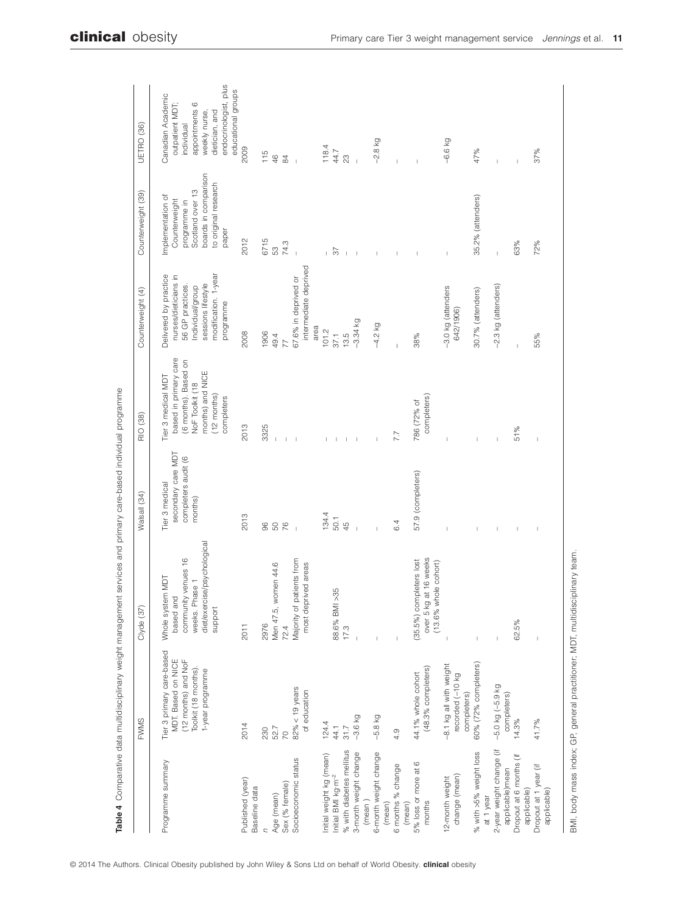|                                             | <b>FWMS</b>                                                                                                       | Clyde (37)                                                                                                          | Walsall (34)                                                           | RIO (38)                                                                                                                                  | Counterweight (4)                                                                                                                                | Counterweight (39)                                                                                                              | UETRO (36)                                                                                                                                            |
|---------------------------------------------|-------------------------------------------------------------------------------------------------------------------|---------------------------------------------------------------------------------------------------------------------|------------------------------------------------------------------------|-------------------------------------------------------------------------------------------------------------------------------------------|--------------------------------------------------------------------------------------------------------------------------------------------------|---------------------------------------------------------------------------------------------------------------------------------|-------------------------------------------------------------------------------------------------------------------------------------------------------|
| Programme summary                           | Tier 3 primary care-based<br>MDT. Based on NICE<br>(12 months) and NoF<br>Toolkit (18 months)<br>1-year programme | diet/exercise/psychological<br>community venues 16<br>Whole system MDT<br>Phase 1<br>based and<br>support<br>weeks. | secondary care MDT<br>completers audit (6<br>Tier 3 medical<br>months) | based in primary care<br>(6 months). Based on<br>months) and NICE<br>Tier 3 medical MDT<br>NoF Toolkit (18<br>$(12$ months)<br>completers | Delivered by practice<br>modification. 1-year<br>nurses/dieticians in<br>sessions lifestyle<br>56 GP practices.<br>Individual/group<br>programme | boards in comparison<br>to original research<br>Scotland over 13<br>Implementation of<br>Counterweight<br>programme in<br>paper | endocrinologist, plus<br>educational groups<br>Canadian Academic<br>outpatient MDT;<br>appointments 6<br>dietician, and<br>weekly nurse<br>individual |
| Published (year)<br>Baseline data           | 2014                                                                                                              | 2011                                                                                                                | 2013                                                                   | 2013                                                                                                                                      | 2008                                                                                                                                             | 2012                                                                                                                            | 2009                                                                                                                                                  |
| C                                           | 230                                                                                                               | 2976                                                                                                                | 96                                                                     | 3325                                                                                                                                      | 1906                                                                                                                                             | 6715                                                                                                                            | 115                                                                                                                                                   |
| Age (mean)                                  | 52.7                                                                                                              | Men 47.5, women 44.6                                                                                                | 50 %                                                                   |                                                                                                                                           | 49.4                                                                                                                                             | 53<br>74.3                                                                                                                      | $\frac{6}{5}$                                                                                                                                         |
| Sex (% female)                              | $\overline{C}$                                                                                                    | 72.4                                                                                                                |                                                                        |                                                                                                                                           | 77                                                                                                                                               |                                                                                                                                 | $\frac{9}{4}$                                                                                                                                         |
| Socioeconomic status                        | $82\% < 19$ years<br>of education                                                                                 | patients from<br>most deprived areas<br>Majority of                                                                 | $\overline{1}$                                                         |                                                                                                                                           | intermediate deprived<br>67.6% in deprived or                                                                                                    |                                                                                                                                 | $\overline{1}$                                                                                                                                        |
| Initial weight kg (mean)                    | 124.4                                                                                                             |                                                                                                                     | 134.4                                                                  |                                                                                                                                           | area<br>101.2                                                                                                                                    |                                                                                                                                 | 118.4                                                                                                                                                 |
| Initial BMI kg·m <sup>-2</sup>              | 44.1                                                                                                              | $>35$<br>88.6% BM                                                                                                   | 50.1                                                                   |                                                                                                                                           | 37.1                                                                                                                                             | 57                                                                                                                              | 44.7                                                                                                                                                  |
| % with diabetes mellitus                    | 31.7                                                                                                              | 17.3                                                                                                                | $\overline{4}$                                                         | $\mathbb{I}$                                                                                                                              | 13.5                                                                                                                                             | $\perp$                                                                                                                         | 23                                                                                                                                                    |
| 3-month weight change                       | $-3.6$ kg                                                                                                         |                                                                                                                     |                                                                        |                                                                                                                                           | $-3.34$ kg                                                                                                                                       | $\,$ $\,$                                                                                                                       |                                                                                                                                                       |
| (mean)                                      |                                                                                                                   |                                                                                                                     |                                                                        |                                                                                                                                           |                                                                                                                                                  |                                                                                                                                 |                                                                                                                                                       |
| 6-month weight change<br>(mean)             | $-5.8$ kg                                                                                                         |                                                                                                                     |                                                                        |                                                                                                                                           | $-4.2$ kg                                                                                                                                        |                                                                                                                                 | $-2.8$ kg                                                                                                                                             |
| 6 months % change<br>(mean)                 | 4.9                                                                                                               | $\overline{1}$                                                                                                      | 6.4                                                                    | 7.7                                                                                                                                       |                                                                                                                                                  | Ť                                                                                                                               |                                                                                                                                                       |
| $^{\circ}$<br>5% loss or more at<br>months  | (48.3% completers)<br>44.1% whole cohort                                                                          | over 5 kg at 16 weeks<br>(35.5%) completers lost<br>(13.6% whole cohort)                                            | 57.9 (completers)                                                      | completers)<br>786 (72% of                                                                                                                | 38%                                                                                                                                              |                                                                                                                                 |                                                                                                                                                       |
| change (mean)<br>12-month weight            | -8.1 kg all with weight<br>recorded (-10 kg<br>completers)                                                        |                                                                                                                     |                                                                        |                                                                                                                                           | -3.0 kg (attenders<br>642/1906)                                                                                                                  | Ï                                                                                                                               | $-6.6$ kg                                                                                                                                             |
| % with >5% weight loss<br>at 1 year         | 60% (72% completers)                                                                                              |                                                                                                                     |                                                                        |                                                                                                                                           | 30.7% (attenders)                                                                                                                                | 35.2% (attenders)                                                                                                               | 47%                                                                                                                                                   |
| 2-year weight change (if<br>applicable)mean | $-5.0$ kg $(-5.9$ kg<br>completers)                                                                               | I                                                                                                                   | I                                                                      |                                                                                                                                           | -2.3 kg (attenders)                                                                                                                              | $\bar{1}$                                                                                                                       |                                                                                                                                                       |
| Dropout at 6 months (if<br>applicable)      | 14.3%                                                                                                             | 62.5%                                                                                                               | $\mathbb I$                                                            | 51%                                                                                                                                       | I                                                                                                                                                | 63%                                                                                                                             |                                                                                                                                                       |
| Dropout at 1 year (if<br>applicable)        | 41.7%                                                                                                             | $\overline{1}$                                                                                                      | J.                                                                     | $\overline{1}$                                                                                                                            | 55%                                                                                                                                              | 72%                                                                                                                             | 37%                                                                                                                                                   |

management services and primary care-based individual programme **Table 4** Comparative data multidisciplinary weight management services and primary care-based individual programme

BMI, body mass index; GP, general practitioner; MDT, multidisciplinary team. BMI, body mass index; GP, general practitioner; MDT, multidisciplinary team.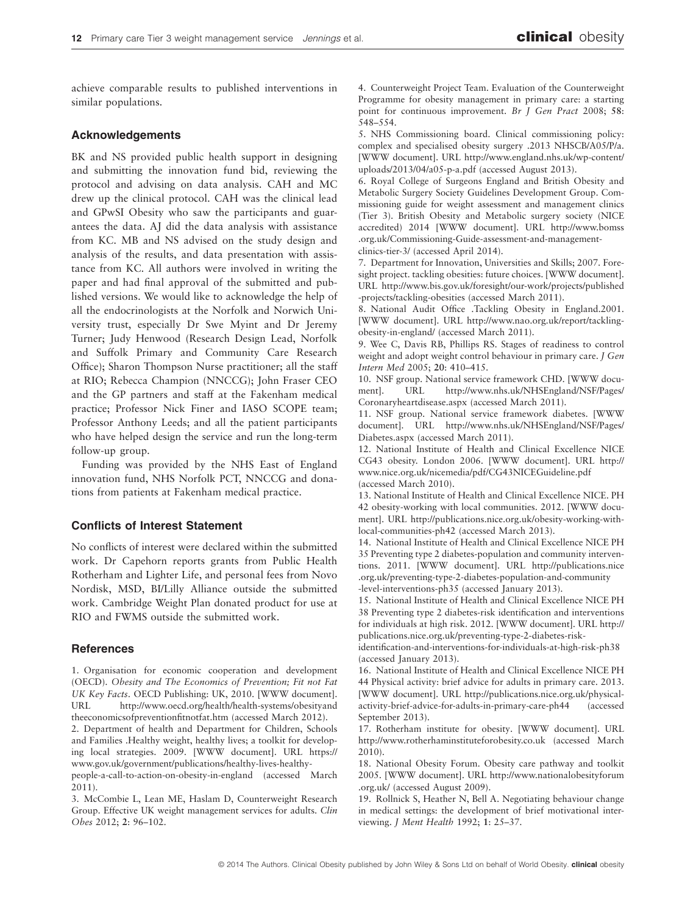achieve comparable results to published interventions in similar populations.

# **Acknowledgements**

BK and NS provided public health support in designing and submitting the innovation fund bid, reviewing the protocol and advising on data analysis. CAH and MC drew up the clinical protocol. CAH was the clinical lead and GPwSI Obesity who saw the participants and guarantees the data. AJ did the data analysis with assistance from KC. MB and NS advised on the study design and analysis of the results, and data presentation with assistance from KC. All authors were involved in writing the paper and had final approval of the submitted and published versions. We would like to acknowledge the help of all the endocrinologists at the Norfolk and Norwich University trust, especially Dr Swe Myint and Dr Jeremy Turner; Judy Henwood (Research Design Lead, Norfolk and Suffolk Primary and Community Care Research Office); Sharon Thompson Nurse practitioner; all the staff at RIO; Rebecca Champion (NNCCG); John Fraser CEO and the GP partners and staff at the Fakenham medical practice; Professor Nick Finer and IASO SCOPE team; Professor Anthony Leeds; and all the patient participants who have helped design the service and run the long-term follow-up group.

Funding was provided by the NHS East of England innovation fund, NHS Norfolk PCT, NNCCG and donations from patients at Fakenham medical practice.

#### **Conflicts of Interest Statement**

No conflicts of interest were declared within the submitted work. Dr Capehorn reports grants from Public Health Rotherham and Lighter Life, and personal fees from Novo Nordisk, MSD, BI/Lilly Alliance outside the submitted work. Cambridge Weight Plan donated product for use at RIO and FWMS outside the submitted work.

#### **References**

1. Organisation for economic cooperation and development (OECD). *Obesity and The Economics of Prevention; Fit not Fat UK Key Facts*. OECD Publishing: UK, 2010. [WWW document]. URL [http://www.oecd.org/health/health-systems/obesityand](http://www.oecd.org/health/health-systems/obesityandtheeconomicsofpreventionfitnotfat.htm) [theeconomicsofpreventionfitnotfat.htm](http://www.oecd.org/health/health-systems/obesityandtheeconomicsofpreventionfitnotfat.htm) (accessed March 2012).

2. Department of health and Department for Children, Schools and Families .Healthy weight, healthy lives; a toolkit for developing local strategies. 2009. [WWW document]. URL [https://](https://www.gov.uk/government/publications/healthy-lives-healthy-people-a-call-to-action-on-obesity-in-england) [www.gov.uk/government/publications/healthy-lives-healthy](https://www.gov.uk/government/publications/healthy-lives-healthy-people-a-call-to-action-on-obesity-in-england)[people-a-call-to-action-on-obesity-in-england](https://www.gov.uk/government/publications/healthy-lives-healthy-people-a-call-to-action-on-obesity-in-england) (accessed March

2011).

3. McCombie L, Lean ME, Haslam D, Counterweight Research Group. Effective UK weight management services for adults. *Clin Obes* 2012; **2**: 96–102.

4. Counterweight Project Team. Evaluation of the Counterweight Programme for obesity management in primary care: a starting point for continuous improvement. *Br J Gen Pract* 2008; **58**: 548–554.

5. NHS Commissioning board. Clinical commissioning policy: complex and specialised obesity surgery .2013 NHSCB/A05/P/a. [WWW document]. URL [http://www.england.nhs.uk/wp-content/](http://www.england.nhs.uk/wp-content/uploads/2013/04/a05-p-a.pdf) [uploads/2013/04/a05-p-a.pdf](http://www.england.nhs.uk/wp-content/uploads/2013/04/a05-p-a.pdf) (accessed August 2013).

6. Royal College of Surgeons England and British Obesity and Metabolic Surgery Society Guidelines Development Group. Commissioning guide for weight assessment and management clinics (Tier 3). British Obesity and Metabolic surgery society (NICE accredited) 2014 [WWW document]. URL [http://www.bomss](http://www.bomss.org.uk/Commissioning-Guide-assessment-and-management-clinics-tier-3/) [.org.uk/Commissioning-Guide-assessment-and-management](http://www.bomss.org.uk/Commissioning-Guide-assessment-and-management-clinics-tier-3/)[clinics-tier-3/](http://www.bomss.org.uk/Commissioning-Guide-assessment-and-management-clinics-tier-3/) (accessed April 2014).

7. Department for Innovation, Universities and Skills; 2007. Foresight project. tackling obesities: future choices. [WWW document]. URL [http://www.bis.gov.uk/foresight/our-work/projects/published](http://www.bis.gov.uk/foresight/our-work/projects/published-projects/tackling-obesities) [-projects/tackling-obesities](http://www.bis.gov.uk/foresight/our-work/projects/published-projects/tackling-obesities) (accessed March 2011).

8. National Audit Office .Tackling Obesity in England.2001. [WWW document]. URL [http://www.nao.org.uk/report/tackling](http://www.nao.org.uk/report/tackling-obesity-in-england/)[obesity-in-england/](http://www.nao.org.uk/report/tackling-obesity-in-england/) (accessed March 2011).

9. Wee C, Davis RB, Phillips RS. Stages of readiness to control weight and adopt weight control behaviour in primary care. *J Gen Intern Med* 2005; **20**: 410–415.

10. NSF group. National service framework CHD. [WWW document]. URL [http://www.nhs.uk/NHSEngland/NSF/Pages/](http://www.nhs.uk/NHSEngland/NSF/Pages/Coronaryheartdisease.aspx) [Coronaryheartdisease.aspx](http://www.nhs.uk/NHSEngland/NSF/Pages/Coronaryheartdisease.aspx) (accessed March 2011).

11. NSF group. National service framework diabetes. [WWW document]. URL [http://www.nhs.uk/NHSEngland/NSF/Pages/](http://www.nhs.uk/NHSEngland/NSF/Pages/Diabetes.aspx) [Diabetes.aspx](http://www.nhs.uk/NHSEngland/NSF/Pages/Diabetes.aspx) (accessed March 2011).

12. National Institute of Health and Clinical Excellence NICE CG43 obesity. London 2006. [WWW document]. URL [http://](http://www.nice.org.uk/nicemedia/pdf/CG43NICEGuideline.pdf) [www.nice.org.uk/nicemedia/pdf/CG43NICEGuideline.pdf](http://www.nice.org.uk/nicemedia/pdf/CG43NICEGuideline.pdf) (accessed March 2010).

13. National Institute of Health and Clinical Excellence NICE. PH 42 obesity-working with local communities. 2012. [WWW document]. URL [http://publications.nice.org.uk/obesity-working-with](http://publications.nice.org.uk/obesity-working-with-local-communities-ph42)[local-communities-ph42](http://publications.nice.org.uk/obesity-working-with-local-communities-ph42) (accessed March 2013).

14. National Institute of Health and Clinical Excellence NICE PH 35 Preventing type 2 diabetes-population and community interventions. 2011. [WWW document]. URL [http://publications.nice](http://publications.nice.org.uk/preventing-type-2-diabetes-population-and-community-level-interventions-ph35) [.org.uk/preventing-type-2-diabetes-population-and-community](http://publications.nice.org.uk/preventing-type-2-diabetes-population-and-community-level-interventions-ph35) [-level-interventions-ph35](http://publications.nice.org.uk/preventing-type-2-diabetes-population-and-community-level-interventions-ph35) (accessed January 2013).

15. National Institute of Health and Clinical Excellence NICE PH 38 Preventing type 2 diabetes-risk identification and interventions for individuals at high risk. 2012. [WWW document]. URL [http://](http://publications.nice.org.uk/preventing-type-2-diabetes-risk-identification-and-interventions-for-individuals-at-high-risk-ph38) [publications.nice.org.uk/preventing-type-2-diabetes-risk-](http://publications.nice.org.uk/preventing-type-2-diabetes-risk-identification-and-interventions-for-individuals-at-high-risk-ph38)

[identification-and-interventions-for-individuals-at-high-risk-ph38](http://publications.nice.org.uk/preventing-type-2-diabetes-risk-identification-and-interventions-for-individuals-at-high-risk-ph38) (accessed January 2013).

16. National Institute of Health and Clinical Excellence NICE PH 44 Physical activity: brief advice for adults in primary care. 2013. [WWW document]. URL [http://publications.nice.org.uk/physical](http://publications.nice.org.uk/physical-activity-brief-advice-for-adults-in-primary-care-ph44)[activity-brief-advice-for-adults-in-primary-care-ph44](http://publications.nice.org.uk/physical-activity-brief-advice-for-adults-in-primary-care-ph44) (accessed September 2013).

17. Rotherham institute for obesity. [WWW document]. URL <http://www.rotherhaminstituteforobesity.co.uk> (accessed March 2010).

18. National Obesity Forum. Obesity care pathway and toolkit 2005. [WWW document]. URL [http://www.nationalobesityforum](http://www.nationalobesityforum.org.uk/) [.org.uk/](http://www.nationalobesityforum.org.uk/) (accessed August 2009).

19. Rollnick S, Heather N, Bell A. Negotiating behaviour change in medical settings: the development of brief motivational interviewing. *J Ment Health* 1992; **1**: 25–37.